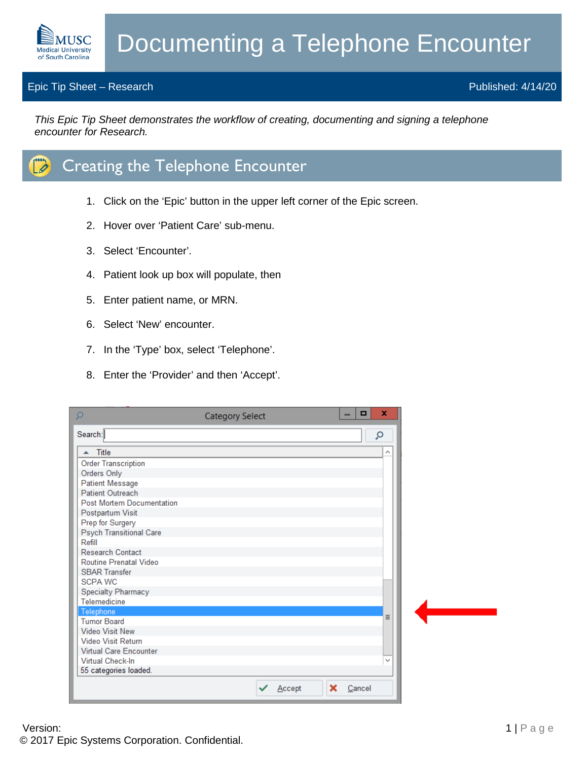## Epic Tip Sheet – Research Published: 4/14/20

**MUSC Medical University** of South Carolina

*This Epic Tip Sheet demonstrates the workflow of creating, documenting and signing a telephone encounter for Research.*



- 1. Click on the 'Epic' button in the upper left corner of the Epic screen.
- 2. Hover over 'Patient Care' sub-menu.
- 3. Select 'Encounter'.
- 4. Patient look up box will populate, then
- 5. Enter patient name, or MRN.
- 6. Select 'New' encounter.
- 7. In the 'Type' box, select 'Telephone'.
- 8. Enter the 'Provider' and then 'Accept'.

| ρ                                | <b>Category Select</b> |        |   | - | $\Box$ | ×            |
|----------------------------------|------------------------|--------|---|---|--------|--------------|
| Search:                          |                        |        |   |   |        | Q            |
| Title<br>木                       |                        |        |   |   |        |              |
| <b>Order Transcription</b>       |                        |        |   |   |        |              |
| Orders Only                      |                        |        |   |   |        |              |
| <b>Patient Message</b>           |                        |        |   |   |        |              |
| <b>Patient Outreach</b>          |                        |        |   |   |        |              |
| <b>Post Mortem Documentation</b> |                        |        |   |   |        |              |
| Postpartum Visit                 |                        |        |   |   |        |              |
| Prep for Surgery                 |                        |        |   |   |        |              |
| <b>Psych Transitional Care</b>   |                        |        |   |   |        |              |
| Refill                           |                        |        |   |   |        |              |
| <b>Research Contact</b>          |                        |        |   |   |        |              |
| Routine Prenatal Video           |                        |        |   |   |        |              |
| <b>SBAR Transfer</b>             |                        |        |   |   |        |              |
| <b>SCPA WC</b>                   |                        |        |   |   |        |              |
| <b>Specialty Pharmacy</b>        |                        |        |   |   |        |              |
| Telemedicine                     |                        |        |   |   |        |              |
| Telephone<br><b>Tumor Board</b>  |                        |        |   |   |        | Ξ            |
| <b>Video Visit New</b>           |                        |        |   |   |        |              |
| <b>Video Visit Return</b>        |                        |        |   |   |        |              |
| <b>Virtual Care Encounter</b>    |                        |        |   |   |        |              |
| Virtual Check-In                 |                        |        |   |   |        | $\checkmark$ |
| 55 categories loaded.            |                        |        |   |   |        |              |
|                                  |                        | Accept | × |   | Cancel |              |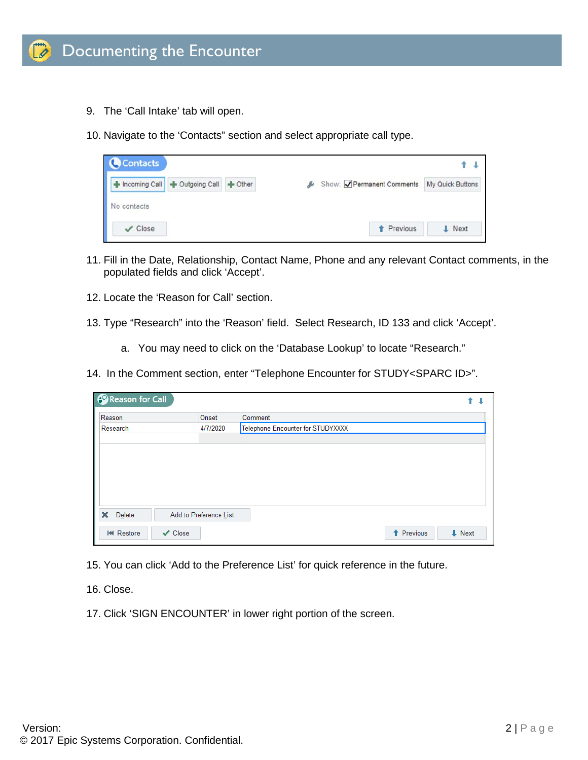

- 9. The 'Call Intake' tab will open.
- 10. Navigate to the 'Contacts" section and select appropriate call type.

| <b>Contacts</b> |                               |  |                                           |               |  |
|-----------------|-------------------------------|--|-------------------------------------------|---------------|--|
|                 | Incoming Call   Outgoing Call |  | Show: Permanent Comments My Quick Buttons |               |  |
| No contacts     |                               |  |                                           |               |  |
| $\vee$ Close    |                               |  | <b>1</b> Previous                         | <b>I</b> Next |  |

- 11. Fill in the Date, Relationship, Contact Name, Phone and any relevant Contact comments, in the populated fields and click 'Accept'.
- 12. Locate the 'Reason for Call' section.
- 13. Type "Research" into the 'Reason' field. Select Research, ID 133 and click 'Accept'.
	- a. You may need to click on the 'Database Lookup' to locate "Research."
- 14. In the Comment section, enter "Telephone Encounter for STUDY<SPARC ID>".

| Reason for Call   |                        |                                   |                   |                   |
|-------------------|------------------------|-----------------------------------|-------------------|-------------------|
| Reason            | Onset                  | Comment                           |                   |                   |
| Research          | 4/7/2020               | Telephone Encounter for STUDYXXXX |                   |                   |
|                   |                        |                                   |                   |                   |
|                   |                        |                                   |                   |                   |
|                   |                        |                                   |                   |                   |
|                   |                        |                                   |                   |                   |
|                   |                        |                                   |                   |                   |
|                   |                        |                                   |                   |                   |
| ×<br>Delete       | Add to Preference List |                                   |                   |                   |
| <b>IM Restore</b> | $\vee$ Close           |                                   | <b>1</b> Previous | $\downarrow$ Next |

- 15. You can click 'Add to the Preference List' for quick reference in the future.
- 16. Close.
- 17. Click 'SIGN ENCOUNTER' in lower right portion of the screen.